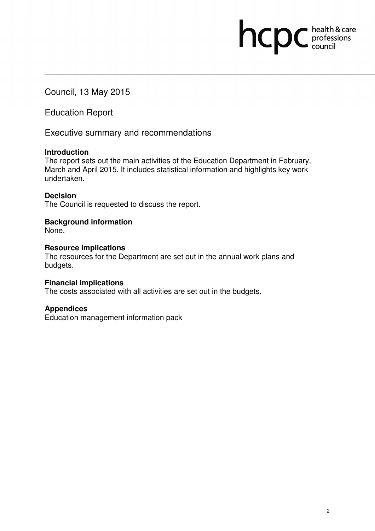Council, 13 May 2015

Education Report

Executive summary and recommendations

## **Introduction**

The report sets out the main activities of the Education Department in February, March and April 2015. It includes statistical information and highlights key work undertaken.

## **Decision**

The Council is requested to discuss the report.

## **Background information**

None.

## **Resource implications**

The resources for the Department are set out in the annual work plans and budgets.

## **Financial implications**

The costs associated with all activities are set out in the budgets.

## **Appendices**

Education management information pack

hcpc health & care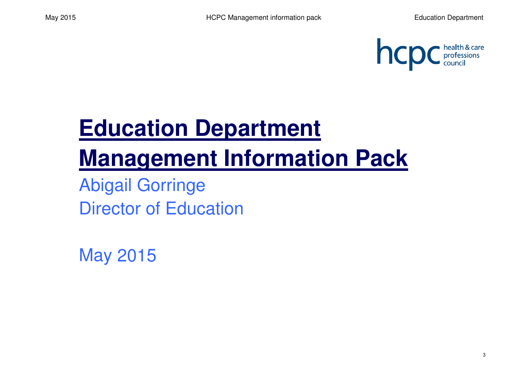

# **Education Department Management Information Pack**

Abigail GorringeDirector of Education

May 2015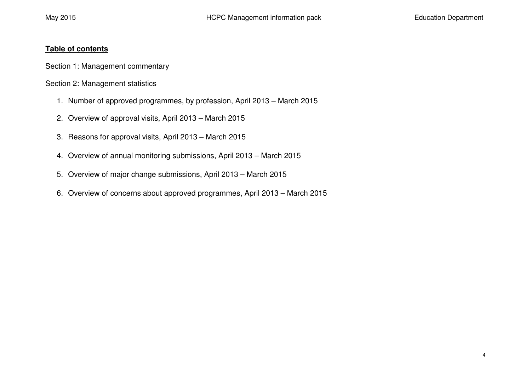## **Table of contents**

Section 1: Management commentary

Section 2: Management statistics

- 1. Number of approved programmes, by profession, April 2013 March 2015
- 2. Overview of approval visits, April 2013 March 2015
- 3. Reasons for approval visits, April 2013 March 2015
- 4. Overview of annual monitoring submissions, April 2013 March 2015
- 5. Overview of major change submissions, April 2013 March 2015
- 6. Overview of concerns about approved programmes, April 2013 March 2015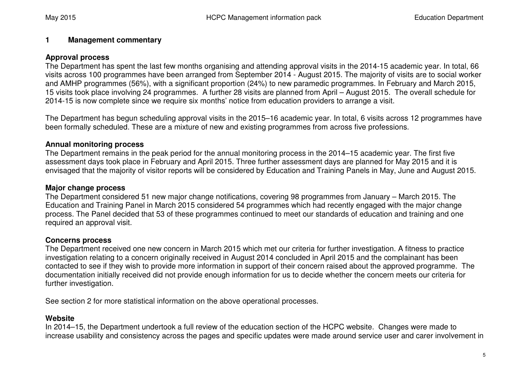#### **1Management commentary**

## **Approval process**

 The Department has spent the last few months organising and attending approval visits in the 2014-15 academic year. In total, 66 visits across 100 programmes have been arranged from September 2014 - August 2015. The majority of visits are to social worker and AMHP programmes (56%), with a significant proportion (24%) to new paramedic programmes. In February and March 2015, 15 visits took place involving 24 programmes. A further 28 visits are planned from April – August 2015. The overall schedule for 2014-15 is now complete since we require six months' notice from education providers to arrange a visit.

The Department has begun scheduling approval visits in the 2015–16 academic year. In total, 6 visits across 12 programmes have been formally scheduled. These are a mixture of new and existing programmes from across five professions.

## **Annual monitoring process**

 The Department remains in the peak period for the annual monitoring process in the 2014–15 academic year. The first five assessment days took place in February and April 2015. Three further assessment days are planned for May 2015 and it is envisaged that the majority of visitor reports will be considered by Education and Training Panels in May, June and August 2015.

## **Major change process**

 The Department considered 51 new major change notifications, covering 98 programmes from January – March 2015. The Education and Training Panel in March 2015 considered 54 programmes which had recently engaged with the major change process. The Panel decided that 53 of these programmes continued to meet our standards of education and training and one required an approval visit.

## **Concerns process**

 The Department received one new concern in March 2015 which met our criteria for further investigation. A fitness to practice investigation relating to a concern originally received in August 2014 concluded in April 2015 and the complainant has been contacted to see if they wish to provide more information in support of their concern raised about the approved programme. The documentation initially received did not provide enough information for us to decide whether the concern meets our criteria for further investigation.

See section 2 for more statistical information on the above operational processes.

## **Website**

 In 2014–15, the Department undertook a full review of the education section of the HCPC website. Changes were made to increase usability and consistency across the pages and specific updates were made around service user and carer involvement in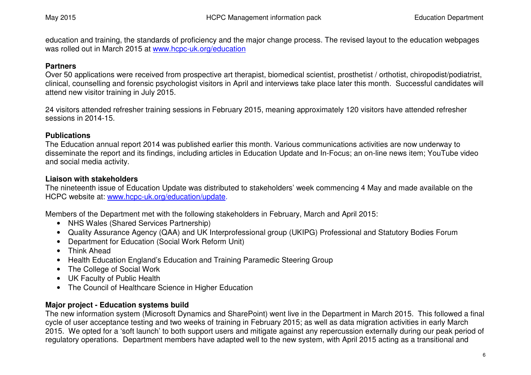education and training, the standards of proficiency and the major change process. The revised layout to the education webpages was rolled out in March 2015 at www.hcpc-uk.org/education

## **Partners**

 Over 50 applications were received from prospective art therapist, biomedical scientist, prosthetist / orthotist, chiropodist/podiatrist, clinical, counselling and forensic psychologist visitors in April and interviews take place later this month. Successful candidates will attend new visitor training in July 2015.

24 visitors attended refresher training sessions in February 2015, meaning approximately 120 visitors have attended refresher sessions in 2014-15.

## **Publications**

 The Education annual report 2014 was published earlier this month. Various communications activities are now underway to disseminate the report and its findings, including articles in Education Update and In-Focus; an on-line news item; YouTube video and social media activity.

## **Liaison with stakeholders**

 The nineteenth issue of Education Update was distributed to stakeholders' week commencing 4 May and made available on the HCPC website at: www.hcpc-uk.org/education/update.

Members of the Department met with the following stakeholders in February, March and April 2015:

- NHS Wales (Shared Services Partnership)
- Quality Assurance Agency (QAA) and UK Interprofessional group (UKIPG) Professional and Statutory Bodies Forum
- Department for Education (Social Work Reform Unit)
- Think Ahead
- Health Education England's Education and Training Paramedic Steering Group
- The College of Social Work
- UK Faculty of Public Health
- The Council of Healthcare Science in Higher Education

## **Major project - Education systems build**

 The new information system (Microsoft Dynamics and SharePoint) went live in the Department in March 2015. This followed a final cycle of user acceptance testing and two weeks of training in February 2015; as well as data migration activities in early March 2015. We opted for a 'soft launch' to both support users and mitigate against any repercussion externally during our peak period of regulatory operations. Department members have adapted well to the new system, with April 2015 acting as a transitional and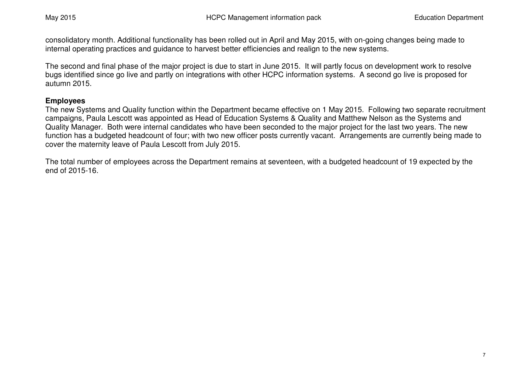consolidatory month. Additional functionality has been rolled out in April and May 2015, with on-going changes being made to internal operating practices and guidance to harvest better efficiencies and realign to the new systems.

The second and final phase of the major project is due to start in June 2015. It will partly focus on development work to resolve bugs identified since go live and partly on integrations with other HCPC information systems. A second go live is proposed for autumn 2015.

## **Employees**

 The new Systems and Quality function within the Department became effective on 1 May 2015. Following two separate recruitment campaigns, Paula Lescott was appointed as Head of Education Systems & Quality and Matthew Nelson as the Systems and Quality Manager. Both were internal candidates who have been seconded to the major project for the last two years. The new function has a budgeted headcount of four; with two new officer posts currently vacant. Arrangements are currently being made to cover the maternity leave of Paula Lescott from July 2015.

The total number of employees across the Department remains at seventeen, with a budgeted headcount of 19 expected by the end of 2015-16.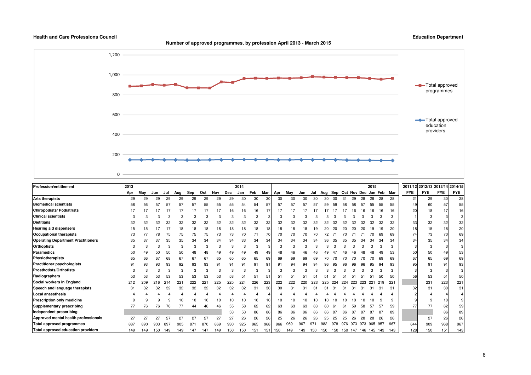**Number of approved programmes, by profession April 2013 - March 2015**



| <b>Profession/entitlement</b>             | 2013 |     |     |     |     |     |     |     |     | 2014 |     |     |     |     |     |     |     |     |     |                     |     | 2015    |     |                             | 2011/12 2012/13 2013/14 2014/15 |            |            |            |
|-------------------------------------------|------|-----|-----|-----|-----|-----|-----|-----|-----|------|-----|-----|-----|-----|-----|-----|-----|-----|-----|---------------------|-----|---------|-----|-----------------------------|---------------------------------|------------|------------|------------|
|                                           | Apr  | May | Jun | Jul | Aug | Sep | Oct | Nov | Dec | Jan  | Feb | Mar | Apr | May | Jun | Jul | Aua |     |     |                     |     |         |     | Sep Oct Nov Dec Jan Feb Mar | <b>FYE</b>                      | <b>FYE</b> | <b>FYE</b> | <b>FYE</b> |
| <b>Arts therapists</b>                    | 29   | 29  | 29  | 29  | 29  | 29  | 29  | 29  | 29  | 30   | 30  | 30  | 30  | 30  | 30  | 30  | 30  | ٩n  | 31  | 29                  | 28  | 28      | 28  | 28                          | 21                              | 29         | 30         | 28         |
| <b>Biomedical scientists</b>              | 58   | 56  | 57  | 57  | 57  | 57  | 55  | 55  | 55  | 54   | 54  | 57  | 57  | 57  | 57  | 57  | 59  | 59  | 58  |                     | 57  | 55      |     | 55                          | 49                              | 60         | 57         | 55         |
| <b>Chiropodists/ Podiatrists</b>          | 17   |     |     |     |     |     |     | 17  |     | 16   | 16  |     |     |     |     |     |     |     |     |                     |     |         |     | 16                          | 20                              | 18         |            | 16         |
| <b>Clinical scientists</b>                |      |     |     |     |     |     |     |     |     |      | 3   |     | з   |     |     |     |     |     |     |                     |     |         |     | 3                           |                                 |            |            |            |
| <b>Dietitians</b>                         | 32   | 32  | 32  | 32  | 32  | 32  | 32  | 32  | 32  | 32   | 32  | 32  | 32  | 32  | 32  |     |     |     |     |                     |     |         |     | 32                          | 33                              |            | 32         | 32         |
| <b>Hearing aid dispensers</b>             | 15   |     |     |     | 18  | 18  | 18  | 18  | 18  | 18   | 18  | 18  | 18  | 18  | 18  | 19  |     |     |     | 20                  |     |         |     | 20                          | 18                              | 15         | 18         | 20         |
| Occupational therapists                   | 73   |     | 78  | 75  | 75  | 75  | 75  | 73  | 73  | 70   | 71  |     | 70  | 70  | 70  |     |     |     |     |                     |     |         | 69  | 69                          | 74                              | 73         | 70         | 69         |
| <b>Operating Department Practitioners</b> | 35   | 37  | 37  | 35  | 35  | 34  | 34  | 34  | 34  | 33   | 34  | 34  | 34  | 34  | 34  | 34  |     |     | 35  | 35                  | 34  |         | 34  | 34                          | 34                              | 35         | 34         | 34         |
| <b>Orthoptists</b>                        |      |     |     |     |     |     |     |     |     |      |     |     |     |     |     |     |     |     |     |                     |     |         |     | 3                           |                                 |            |            |            |
| <b>Paramedics</b>                         | 50   |     | 50  | 50  | 50  |     |     |     |     |      | 49  |     | 48  |     |     |     |     |     |     |                     |     |         |     | 53                          | 50                              | 50         |            | 53         |
| Physiotherapists                          | 65   | 66  | 67  | 68  | 6.  | 67  | 6.  | 65  | 65  | 65   | 65  | 69  | 69  | 69  | 69  |     |     |     |     |                     |     |         |     | 69                          | 67                              |            | 69         | 69         |
| <b>Practitioner psychologists</b>         | 91   | 93  | 93  | 93  | 92  | 93  | 93  | 9   | 91  | 91   | 91  | 91  | 91  | 94  | 94  |     |     |     |     | ۹ŕ                  |     |         |     | 93                          | 95                              |            | 91         | 93         |
| <b>Prosthotists/Orthotists</b>            |      |     | 3   |     | 3   | 3   |     | З   | Э   |      | 3   |     |     |     |     |     |     |     |     |                     |     |         |     | 3                           |                                 |            |            |            |
| Radiographers                             | 53   | 53  | 53  | 53  | 53  | 53  | 53  | 53  | 53  | 51   | 51  | 5.  | 51  |     |     |     |     |     |     |                     |     |         |     | 50                          | 56                              | 53         | 51         | 50         |
| Social workers in England                 | 212  | 209 | 216 | 214 | 221 |     | 22. | 225 | 225 | 224  | 226 | 223 | 222 | 222 | 220 | 223 |     | 224 | 224 | 223                 | 223 | 221     | 219 | 221                         |                                 | 231        | 223        | 221        |
| Speech and language therapists            | 31   | 32  | 32  | 32  | 32  | 32  | 32  | 32  | 32  | 32   | 31  | 30  | 30  | 31  | З.  |     |     |     |     |                     | 3.  |         |     | 31                          | 32                              | 31         | 30         | 31         |
| Local anaesthesia                         |      |     |     |     |     |     |     |     |     |      |     |     |     |     |     |     |     |     |     |                     |     |         |     |                             |                                 |            |            |            |
| Prescription only medicine                |      |     |     |     |     |     |     |     |     | 10   | 10  |     | 10  | 10  |     |     |     |     |     |                     |     |         |     | 9                           |                                 |            | 10         |            |
| Supplementary prescribing                 | 77   | 76  | 76  | 76  |     | 44  | 46  | 46  | 55  | 58   | 62  | 62  | 63  | 63  | 63  | 63  |     |     |     |                     |     |         |     | 59                          | 77                              | 77         | 62         | 59         |
| Independent prescribing                   |      |     |     |     |     |     |     |     | 53  | 53   | 86  | 86  | 86  | 86  | 86  | 86  | 86  |     |     |                     |     |         |     | 89                          |                                 |            | 86         | 89         |
| Approved mental health professionals      | 27   | 27  | 27  | 5.  |     | 27  | 27  | 27  | 27  | 26   | 26  | 26  | 25  | 26  | 26  | 26  | 25  | 25  | 25  | 26                  | 28  | 28      | 26  | 26                          |                                 | 27         | 26         | 26         |
| <b>Total approved programmes</b>          | 887  | 890 | 903 | 897 | 905 | 87' | 870 | 869 | 930 | 925  | 965 | 968 | 966 | 969 | 967 | 971 | 982 | 978 |     | 976 973 973         |     | 965 957 |     | 967                         | 644                             | 909        | 968        | 967        |
| Total approved education providers        | 149  | 149 | 150 | 149 | 149 | 147 | 147 | 149 | 150 | 150  | 151 | 151 | 150 | 149 | 149 | 150 | 150 | 150 |     | 150 147 146 145 143 |     |         |     | 143                         | 128                             | 150        | 151        | 143        |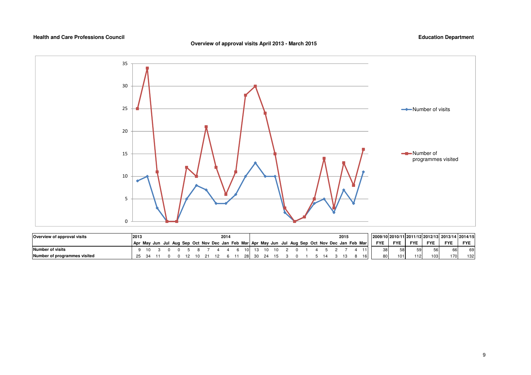### **Overview of approval visits April 2013 - March 2015**



| Overview of approval visits  | 2013                                                                                            |     |  |  |  | 2014 |    |  |  |  |  | 2015 |    | 2009/10 2010/11 2011/12 2012/13 2013/14 2014/15 |            |            |            |            |            |
|------------------------------|-------------------------------------------------------------------------------------------------|-----|--|--|--|------|----|--|--|--|--|------|----|-------------------------------------------------|------------|------------|------------|------------|------------|
|                              | Apr May Jun Jul Aug Sep Oct Nov Dec Jan Feb Mar Apr May Jun Jul Aug Sep Oct Nov Dec Jan Feb Mar |     |  |  |  |      |    |  |  |  |  |      |    | <b>FYE</b>                                      | <b>FYE</b> | <b>FYE</b> | <b>FYE</b> | <b>FYE</b> | <b>FYE</b> |
| Number of visits             |                                                                                                 |     |  |  |  |      |    |  |  |  |  |      |    |                                                 | 58         | 59         | 56         |            | 69         |
| Number of programmes visited | 25                                                                                              | -34 |  |  |  |      | 28 |  |  |  |  |      | 16 | 30 <sub>1</sub>                                 | 101        | 112        | 103        | '70 l      | 132        |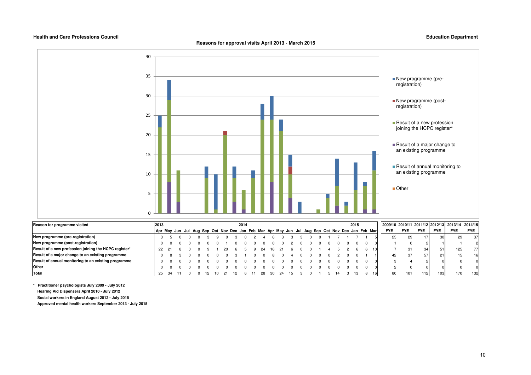**Reasons for approval visits April 2013 - March 2015**

#### **Education Department**



| Reason for programme visited                          | 2013 |  |  |  |  | 2014 |  |    |  |  |  |  | 2015 |                                                                                                 |            |            |            |            | 2009/10 2010/11 2011/12 2012/13 2013/14 2014/15 |                 |
|-------------------------------------------------------|------|--|--|--|--|------|--|----|--|--|--|--|------|-------------------------------------------------------------------------------------------------|------------|------------|------------|------------|-------------------------------------------------|-----------------|
|                                                       |      |  |  |  |  |      |  |    |  |  |  |  |      | Apr May Jun Jul Aug Sep Oct Nov Dec Jan Feb Mar Apr May Jun Jul Aug Sep Oct Nov Dec Jan Feb Mar | <b>FYE</b> | <b>FYE</b> | <b>FYE</b> | <b>FYE</b> | <b>FYE</b>                                      | <b>FYE</b>      |
| New programme (pre-registration)                      |      |  |  |  |  |      |  |    |  |  |  |  |      |                                                                                                 | 251        |            |            | -30        | 29                                              | 37 <sup>1</sup> |
| New programme (post-registration)                     |      |  |  |  |  |      |  |    |  |  |  |  |      |                                                                                                 |            |            |            |            |                                                 |                 |
| Result of a new profession joining the HCPC register* |      |  |  |  |  |      |  |    |  |  |  |  |      | 10                                                                                              |            | 31         | 34         | 51         | 125                                             | 77              |
| Result of a major change to an existing programme     |      |  |  |  |  |      |  |    |  |  |  |  |      |                                                                                                 | 42         | 37         | 57         | 21         |                                                 | 16              |
| Result of annual monitoring to an existing programme  |      |  |  |  |  |      |  |    |  |  |  |  |      |                                                                                                 |            |            |            |            |                                                 |                 |
| Other                                                 |      |  |  |  |  |      |  |    |  |  |  |  |      |                                                                                                 |            |            |            |            |                                                 |                 |
| Total                                                 | 25   |  |  |  |  |      |  | 30 |  |  |  |  |      | 16                                                                                              | 80         | 1011       | 1121       | 103        | 170                                             | 132             |

**\* Practitioner psychologists July 2009 - July 2012 Hearing Aid Dispensers April 2010 - July 2012 Social workers in England August 2012 - July 2015 Approved mental health workers September 2013 - July 2015**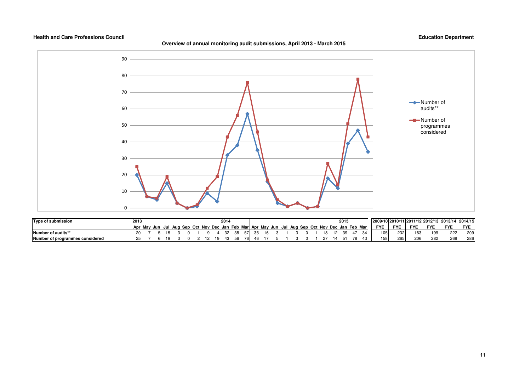**Overview of annual monitoring audit submissions, April 2013 - March 2015**



| Type of submission              | 12013 |  |  |  |  | 2014 |    |            |  |  |  |  | 2015 |                                                                                                 |            |            |            |            | 2009/10  2010/11  2011/12  2012/13  2013/14  2014/15 |            |
|---------------------------------|-------|--|--|--|--|------|----|------------|--|--|--|--|------|-------------------------------------------------------------------------------------------------|------------|------------|------------|------------|------------------------------------------------------|------------|
|                                 |       |  |  |  |  |      |    |            |  |  |  |  |      | Apr May Jun Jul Aug Sep Oct Nov Dec Jan Feb Mar Apr May Jun Jul Aug Sep Oct Nov Dec Jan Feb Mar | <b>FYE</b> | <b>FYE</b> | <b>FYE</b> | <b>FYE</b> | <b>FYE</b>                                           | <b>FYE</b> |
| Number of audits**              | 20    |  |  |  |  |      |    | -57.       |  |  |  |  | -39  | 34.                                                                                             | 105        | 232        | 163        | 199        | 222                                                  | 209        |
| Number of programmes considered |       |  |  |  |  |      | 56 | $\sqrt{2}$ |  |  |  |  |      |                                                                                                 | 158        | 265        | 206        | 282        | 268                                                  | 286        |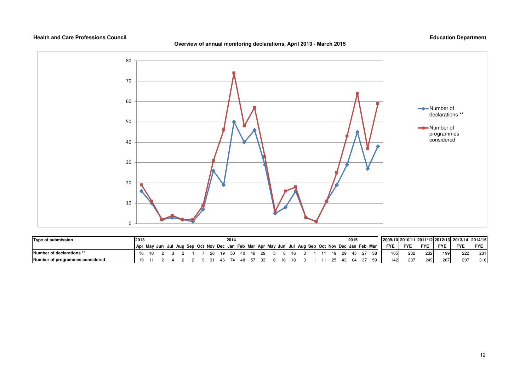#### **Overview of annual monitoring declarations, April 2013 - March 2015**



| Type of submission              | 2013                                                                                            |  |  |  |      | 2014 |      |  |  |  |  |  | 2015 |                 |            |            |            |            | 2009/1012010/1112011/1212012/131 2013/14 2014/15 |            |
|---------------------------------|-------------------------------------------------------------------------------------------------|--|--|--|------|------|------|--|--|--|--|--|------|-----------------|------------|------------|------------|------------|--------------------------------------------------|------------|
|                                 | Apr May Jun Jul Aug Sep Oct Nov Dec Jan Feb Mar Apr May Jun Jul Aug Sep Oct Nov Dec Jan Feb Mar |  |  |  |      |      |      |  |  |  |  |  |      |                 | <b>FYE</b> | <b>FYE</b> | <b>FYE</b> | <b>FYE</b> | <b>FYE</b>                                       | <b>FYE</b> |
| Number of declarations **       |                                                                                                 |  |  |  | - 19 | -50  | - 40 |  |  |  |  |  |      |                 | $105 -$    | 232        | 232        | 199        | 222                                              | 231        |
| Number of programmes considered | 10.                                                                                             |  |  |  |      |      |      |  |  |  |  |  |      | 59 <sup>1</sup> | 142        | 237        | 249        | 267        | 297                                              | 316        |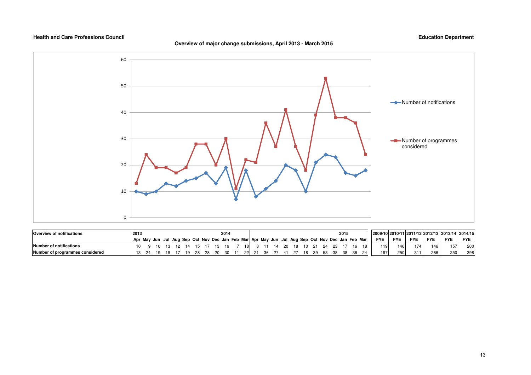### **Overview of major change submissions, April 2013 - March 2015**



| <b>Overview of notifications</b> | 2013                                                                                            |  |  |     |    |       | 2014 |    |   |         |       |    |      |      | 2015 |    |            |            |            |            | 2009/10 2010/11 2011/12 2012/13 2013/14 2014/15 |            |
|----------------------------------|-------------------------------------------------------------------------------------------------|--|--|-----|----|-------|------|----|---|---------|-------|----|------|------|------|----|------------|------------|------------|------------|-------------------------------------------------|------------|
|                                  | Apr May Jun Jul Aug Sep Oct Nov Dec Jan Feb Mar Apr May Jun Jul Aug Sep Oct Nov Dec Jan Feb Mar |  |  |     |    |       |      |    |   |         |       |    |      |      |      |    | <b>FYE</b> | <b>FYE</b> | <b>FYE</b> | <b>FYE</b> | <b>FYE</b>                                      | <b>FYE</b> |
| Number of notifications          | 10                                                                                              |  |  |     | 15 |       | 1 Q  | 18 |   |         | 20 18 | 10 | - 21 | - 24 |      | 18 | 119        | 146        | 174        | 146        | 157.                                            | 200        |
| Number of programmes considered  |                                                                                                 |  |  | 10. |    | 28.20 | ີດ   |    | ີ | . 27 41 |       |    |      | 53.  |      | 24 | 197        | 250        | 311        | 266        | 250                                             | 398        |